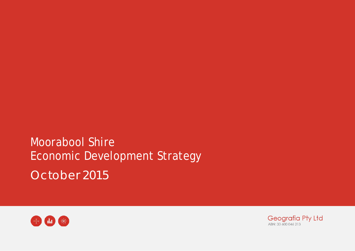Moorabool Shire Economic Development Strategy October 2015



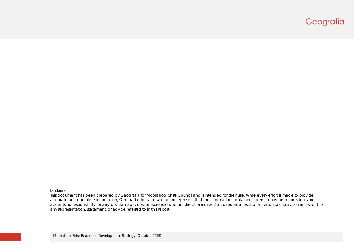# Geografia

#### Disclaimer

This document has been prepared by Geografia for Moorabool Shire Council and is intended for their use. While every effort is made to provide accurate and complete information, Geografia does not warrant or represent that the information contained is free from errors or omissions and accepts no responsibility for any loss, damage, cost or expense (whether direct or indirect) incurred as a result of a person taking action in respect to any representation, statement, or advice referred to in this report.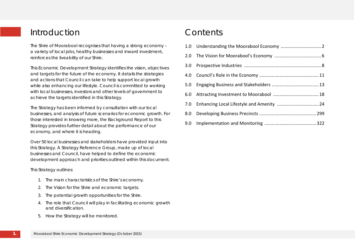# Introduction

The Shire of Moorabool recognises that having a strong economy – a variety of local jobs, healthy businesses and inward investment, reinforces the liveability of our Shire.

This Economic Development Strategy identifies the vision, objectives and targets for the future of the economy. It details the strategies and actions that Council can take to help support local growth while also enhancing our lifestyle. Council is committed to working with local businesses, investors and other levels of government to achieve the targets identified in this Strategy.

The Strategy has been informed by consultation with our local businesses, and analysis of future scenarios for economic growth. For those interested in knowing more, the Background Report to this Strategy provides further detail about the performance of our economy, and where it is heading.

Over 50 local businesses and stakeholders have provided input into this Strategy. A Strategy Reference Group, made up of local businesses and Council, have helped to define the economic development approach and priorities outlined within this document.

This Strategy outlines:

- 1. The main characteristics of the Shire's economy.
- 2. The Vision for the Shire and economic targets.
- 3. The potential growth opportunities for the Shire.
- 4. The role that Council will play in facilitating economic growth and diversification.
- 5. How the Strategy will be monitored.

# Contents

| 3.0 <sub>2</sub> |  |
|------------------|--|
|                  |  |
| 5.0              |  |
| 6.0              |  |
|                  |  |
| 8.0              |  |
|                  |  |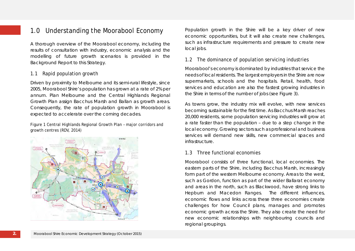## 1.0 Understanding the Moorabool Economy

A thorough overview of the Moorabool economy, including the results of consultation with industry, economic analysis and the modelling of future growth scenarios is provided in the Background Report to this Strategy.

## 1.1 Rapid population growth

Driven by proximity to Melbourne and its semi-rural lifestyle, since 2005, Moorabool Shire's population has grown at a rate of 2% per annum. Plan Melbourne and the Central Highlands Regional Growth Plan assign Bacchus Marsh and Ballan as growth areas. Consequently, the rate of population growth in Moorabool is expected to accelerate over the coming decades.

Figure 1 Central Highlands Regional Growth Plan – major corridors and growth centres (RDV, 2014)



Population growth in the Shire will be a key driver of new economic opportunities, but it will also create new challenges, such as infrastructure requirements and pressure to create new local jobs.

## 1.2 The dominance of population servicing industries

Moorabool's economy is dominated by industries that service the needs of local residents. The largest employers in the Shire are now supermarkets, schools and the hospitals. Retail, health, food services and education are also the fastest growing industries in the Shire in terms of the number of jobs (see Figure 3).

As towns grow, the industry mix will evolve, with new services becoming sustainable for the first time. As Bacchus Marsh reaches 20,000 residents, some population servicing industries will grow at a rate faster than the population – due to a step change in the local economy. Growing sectors such as professional and business services will demand new skills, new commercial spaces and infrastructure.

## 1.3 Three functional economies

Moorabool consists of three functional, local economies. The eastern parts of the Shire, including Bacchus Marsh, increasingly form part of the western Melbourne economy. Areas to the west, such as Gordon, function as part of the wider Ballarat economy and areas in the north, such as Blackwood, have strong links to Hepburn and Macedon Ranges. The different influences, economic flows and links across these three economies create challenges for how Council plans, manages and promotes economic growth across the Shire. They also create the need for new economic relationships with neighbouring councils and regional groupings.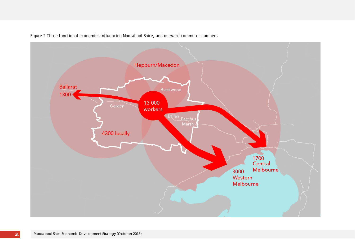

Figure 2 Three functional economies influencing Moorabool Shire, and outward commuter numbers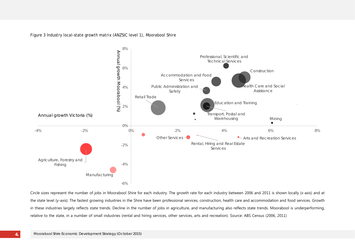Figure 3 Industry local-state growth matrix (ANZSIC level 1), Moorabool Shire



Circle sizes represent the number of jobs in Moorabool Shire for each industry. The growth rate for each industry between 2006 and 2011 is shown locally (x-axis) and at the state level (y-axis). The fastest growing industries in the Shire have been professional services, construction, health care and accommodation and food services. Growth in these industries largely reflects state trends. Decline in the number of jobs in agriculture, and manufacturing also reflects state trends. Moorabool is underperforming, relative to the state, in a number of small industries (rental and hiring services, other services, arts and recreation). Source: ABS Census (2006, 2011)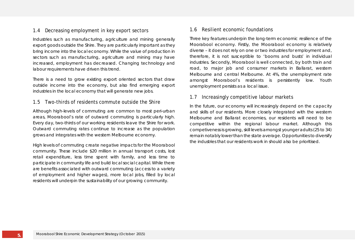## 1.4 Decreasing employment in key export sectors

Industries such as manufacturing, agriculture and mining generally export goods outside the Shire. They are particularly important as they bring income into the local economy. While the value of production in sectors such as manufacturing, agriculture and mining may have increased, employment has decreased. Changing technology and labour requirements have driven this trend.

There is a need to grow existing export oriented sectors that draw outside income into the economy, but also find emerging export industries in the local economy that will generate new jobs.

## 1.5 Two-thirds of residents commute outside the Shire

Although high-levels of commuting are common to most peri-urban areas, Moorabool's rate of outward commuting is particularly high. Every day, two-thirds of our working residents leave the Shire for work. Outward commuting rates continue to increase as the population grows and integrates with the western Melbourne economy.

High levels of commuting create negative impacts for the Moorabool community. These include \$20 million in annual transport costs, lost retail expenditure, less time spent with family, and less time to participate in community life and build local social capital. While there are benefits associated with outward commuting (access to a variety of employment and higher wages), more local jobs, filled by local residents will underpin the sustainability of our growing community.

## 1.6 Resilient economic foundations

Three key features underpin the long-term economic resilience of the Moorabool economy. Firstly, the Moorabool economy is relatively diverse – it does not rely on one or two industries for employment and, therefore, it is not susceptible to 'booms and busts' in individual industries. Secondly, Moorabool is well connected, by both train and road, to major job and consumer markets in Ballarat, western Melbourne and central Melbourne. At 4%, the unemployment rate amongst Moorabool's residents is persistently low. Youth unemployment persists as a local issue.

## 1.7 Increasingly competitive labour markets

In the future, our economy will increasingly depend on the capacity and skills of our residents. More closely integrated with the western Melbourne and Ballarat economies, our residents will need to be competitive within the regional labour market. Although this competiveness is growing, skill levels amongst younger adults (25 to 34) remain notably lower than the state average. Opportunities to diversify the industries that our residents work in should also be prioritised.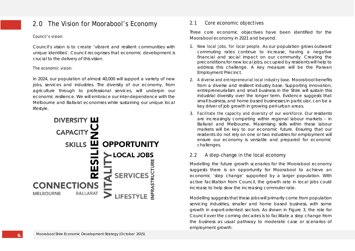## 2.0 The Vision for Moorabool's Economy

#### Council's vision:

Council's vision is to create 'vibrant and resilient communities with unique identities'. Council recognises that economic development is crucial to the delivery of this vision.

#### The economic vision:

In 2024, our population of almost 40,000 will support a variety of new jobs, services and industries. The diversity of our economy, from agriculture through to professional services, will underpin our economic resilience. We will embrace our inter-dependence with the Melbourne and Ballarat economies while sustaining our unique local lifestyle.



## 2.1 Core economic objectives

Three core economic objectives have been identified for the Moorabool economy in 2021 and beyond.

- 1. New local jobs, for local people. As our population grows outward commuting rates continue to increase, having a negative financial and social impact on our community. Creating the preconditions for new local jobs, occupied by residents will help to address this challenge. A key measure will be the Parwan Employment Precinct.
- 2. A diverse and entrepreneurial local industry base. Moorabool benefits from a diverse and resilient industry base. Supporting innovation, entrepreneurialism and small business in the Shire will sustain this industrial diversity over the longer term. Evidence suggests that small business, and home based businesses in particular, can be a key driver of job growth in growing peri-urban areas.
- 3. Facilitate the capacity and diversity of our workforce. Our residents are increasingly competing within regional labour markets – in Ballarat and Melbourne. Maximising skills within these labour markets will be key to our economic future. Ensuring that our residents do not rely on one or two industries for employment will ensure our economy is versatile and prepared for economic challenges.

## 2.2 A step-change in the local economy

Modelling the future growth scenarios for the Moorabool economy suggests there is an opportunity for Moorabool to achieve an economic 'step change' supported by a larger population. With active facilitation from Council, the growth rate in local jobs could increase to help slow the increasing commuter rate.

Modelling suggests that these jobs will primarily come from population servicing industries, smaller and home based business, with some growth in export-oriented sectors. As shown in Figure 3, the role for Council over the coming decades is to facilitate a step change from the business as usual pathway to moderate case or scenarios of employment growth.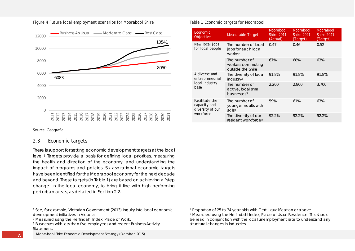

#### Figure 4 Future local employment scenarios for Moorabool Shire

#### Source: Geografia

#### 2.3 Economic targets

There is support for setting economic development targets at the local level.[1](#page-8-0) Targets provide a basis for defining local priorities, measuring the health and direction of the economy, and understanding the impact of programs and policies. Six aspirational economic targets have been identified for the Moorabool economy for the next decade and beyond. These targets (in Table 1) are based on achieving a 'step change' in the local economy, to bring it line with high performing peri-urban areas, as detailed in Section 2.2.

Moorabool Shire Economic Development Strategy (October 2015)

<span id="page-8-3"></span><span id="page-8-2"></span><span id="page-8-1"></span><span id="page-8-0"></span>Table 1 Economic targets for Moorabool

| Economic<br>Objective                              | <b>Measurable Target</b>                                        | <b>Moorabool</b><br><b>Shire 2011</b><br>(Actual) | Moorabool<br><b>Shire 2021</b><br>(Target) | <b>Moorabool</b><br><b>Shire 2041</b><br>(Target) |
|----------------------------------------------------|-----------------------------------------------------------------|---------------------------------------------------|--------------------------------------------|---------------------------------------------------|
| New local jobs<br>for local people                 | The number of local<br>jobs for each local<br>worker            | 0.47                                              | 0.46                                       | 0.52                                              |
|                                                    | The number of<br>workers commuting<br>outside the Shire         | 67%                                               | 68%                                        | 63%                                               |
| A diverse and<br>entrepreneurial                   | The diversity of local<br>industry <sup>2</sup>                 | 91.8%                                             | 91.8%                                      | 91.8%                                             |
| local industry<br>base                             | The number of<br>active, local small<br>businesses <sup>3</sup> | 2,200                                             | 2,800                                      | 3,700                                             |
| Facilitate the<br>capacity and<br>diversity of our | The number of<br>younger adults with<br>skills <sup>4</sup>     | 59%                                               | 61%                                        | 63%                                               |
| workforce                                          | The diversity of our<br>resident workforce <sup>5</sup>         | 92.2%                                             | 92.2%                                      | 92.2%                                             |

<sup>1</sup> See, for example, Victorian Government (2013) Inquiry into local economic development initiatives in Victoria

<sup>2</sup> Measured using the Herfindahl Index, Place of Work.

<sup>3</sup> Businesses with less than five employees and recent Business Activity Statement.

<sup>4</sup> Proportion of 25 to 34 year olds with Cert II qualification or above.

<sup>5</sup> Measured using the Herfindahl Index, Place of Usual Residence. This should be read in conjunction with the local unemployment rate to understand any structural changes in industries.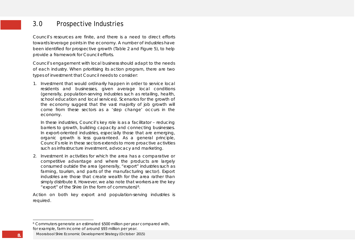## <span id="page-9-0"></span>3.0 Prospective Industries

Council's resources are finite, and there is a need to direct efforts towards leverage points in the economy. A number of industries have been identified for prospective growth (Table 2 and Figure 5), to help provide a framework for Council efforts.

Council's engagement with local business should adapt to the needs of each industry. When prioritising its action program, there are two types of investment that Council needs to consider:

1. Investment that would ordinarily happen in order to service local residents and businesses, given average local conditions (generally, population-serving industries such as retailing, health, school education and local services). Scenarios for the growth of the economy suggest that the vast majority of job growth will come from these sectors as a 'step change' occurs in the economy.

In these industries, Council's key role is as a facilitator – reducing barriers to growth, building capacity and connecting businesses. In export-oriented industries, especially those that are emerging, organic growth is less guaranteed. As a general principle, Council's role in these sectors extends to more proactive activities such as infrastructure investment, advocacy and marketing.

2. Investment in activities for which the area has a comparative or competitive advantage and where the products are largely consumed outside the area (generally, "export" industries such as farming, tourism, and parts of the manufacturing sector). Export industries are those that create wealth for the area rather than simply distribute it. However, we also note that workers are the key "export" of the Shire (in the form of commuters)[6.](#page-9-0)

Action on both key export and population-serving industries is required.

<sup>6</sup> Commuters generate an estimated \$500 million per year compared with, for example, farm income of around \$93 million per year.

Moorabool Shire Economic Development Strategy (October 2015)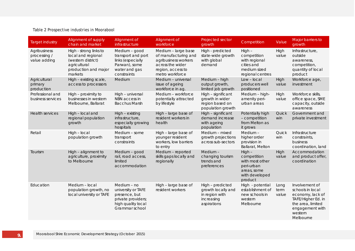#### Table 2 Prospective industries in Moorabool

| <b>Target industry</b>                       | Alignment of supply<br>chain and market                                                                               | Alignment of<br>infrastructure                                                                                   | Alignment of<br>workforce                                                                                                       | Projected sector<br>growth                                                            | Competition                                                                                          | Value                 | Major barriers to<br>growth                                                                                                                  |
|----------------------------------------------|-----------------------------------------------------------------------------------------------------------------------|------------------------------------------------------------------------------------------------------------------|---------------------------------------------------------------------------------------------------------------------------------|---------------------------------------------------------------------------------------|------------------------------------------------------------------------------------------------------|-----------------------|----------------------------------------------------------------------------------------------------------------------------------------------|
| Agribusiness<br>processing /<br>value adding | High - strong links to<br>local and regional<br>(western district)<br>agricultural<br>production and major<br>markets | Medium - good<br>transport and port<br>links (especially<br>Parwan), some<br>water and gas<br>constraints        | Medium - large base<br>of manufacturing and<br>agribusiness workers<br>across the wider<br>region, access to<br>metro workforce | High - predicted<br>state-wide growth<br>with global<br>demand                        | $High -$<br>competition<br>with regional<br>cities and<br>medium sized<br>regional centres           | High<br>value         | Infrastructure,<br>outside<br>awareness,<br>competition,<br>quantity of local<br>product                                                     |
| Agricultural<br>primary<br>production        | High - existing scale,<br>access to processors                                                                        | Medium                                                                                                           | Medium - universal<br>issue of ageing<br>workforce in ag.                                                                       | Medium - high<br>output growth,<br>limited job growth                                 | $Low - local$<br>producers well<br>positioned                                                        | High<br>value         | Workforce age,<br>investment                                                                                                                 |
| Professional and<br>business services        | High - proximity to<br>businesses in western<br>Melbourne, Ballarat                                                   | High - universal<br>NBN access in<br><b>Bacchus Marsh</b>                                                        | Medium - workforce<br>potentially attracted<br>by lifestyle                                                                     | High - significant<br>growth in wider<br>region based on<br>population growth         | Medium - high-<br>amenity peri-<br>urban areas                                                       | High<br>value         | Workforce skills,<br>office space, SME<br>capacity, outside<br>awareness                                                                     |
| <b>Health services</b>                       | High - local and<br>regional population<br>growth                                                                     | High - existing<br>infrastructure,<br>especially growing<br>hospitals                                            | High - large base of<br>resident workers in<br>health                                                                           | High - significant<br>demand increase<br>with ageing<br>population                    | Potentially high<br>- competition<br>from Melton as<br>it grows                                      | Quick<br>win          | Government and<br>private investment                                                                                                         |
| Retail                                       | High - local<br>population growth                                                                                     | Medium - some<br>transport<br>constraints                                                                        | High - large base of<br>younger resident<br>workers, low barriers<br>to entry                                                   | Medium - mixed<br>growth projections<br>across sub-sectors                            | Medium-<br>higher order<br>provision in<br>Ballarat, Melton                                          | Quick<br>win          | Infrastructure<br>constraints,<br>business<br>coordination, land                                                                             |
| Tourism                                      | High - alignment to<br>agriculture, proximity<br>to Melbourne                                                         | Medium - good<br>rail, road access,<br>limited<br>accommodation                                                  | Medium - reported<br>skills gaps locally and<br>regionally                                                                      | Medium-<br>changing tourism<br>trends and<br>preferences                              | $High -$<br>competition<br>with most other<br>peri-urban<br>areas, some<br>with developed<br>product | High<br>value         | Accommodation<br>and product offer,<br>coordination                                                                                          |
| Education                                    | Medium - local<br>population growth, no<br>local university or TAFE                                                   | Medium - no<br>university or TAFE<br>presence, but<br>private providers;<br>high quality local<br>Grammar school | High - large base of<br>resident workers                                                                                        | High - predicted<br>growth locally and<br>in region with<br>increasing<br>aspirations | High - potential<br>establishment of<br>new schools in<br>western<br>Melbourne                       | Long<br>term<br>value | Involvement of<br>schools in local<br>economy, lack of<br>TAFE/Higher Ed. in<br>the area, limited<br>engagement with<br>western<br>Melbourne |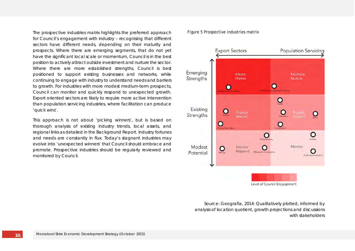*The prospective industries matrix highlights the preferred approach for Council's engagement with industry – recognising that different sectors have different needs, depending on their maturity and prospects. Where there are emerging segments, that do not yet have the significant local scale or momentum, Council is in the best position to actively attract outside investment and nurture the sector. Where there are more established strengths, Council is best positioned to support existing businesses and networks, while continuing to engage with industry to understand needs and barriers to growth. For industries with more modest medium-term prospects, Council can monitor and quickly respond to unexpected growth. Export oriented sectors are likely to require more active intervention than population servicing industries, where facilitation can produce 'quick wins'.* 

*This approach is not about 'picking winners', but is based on thorough analysis of existing industry trends, local assets, and regional links as detailed in the Background Report. Industry fortunes and needs are constantly in flux. Today's stagnant industries may evolve into 'unexpected winners' that Council should embrace and promote. Prospective industries should be regularly reviewed and monitored by Council.* 

#### Figure 5 Prospective industries matrix



*Source: Geografia, 2014: Qualitatively plotted, informed by analysis of location quotient, growth projections and discussions with stakeholders*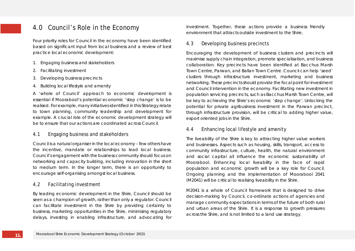## 4.0 Council's Role in the Economy

Four priority roles for Council in the economy have been identified based on significant input from local business and a review of best practice local economic development:

- 1. Engaging business and stakeholders
- 2. Facilitating investment
- 3. Developing business precincts
- 4. Building local lifestyle and amenity

A 'whole of Council' approach to economic development is essential if Moorabool's potential economic 'step change' is to be realised. For example, many initiatives identified in this Strategy relate to town planning, community leadership and development for example. A crucial role of the economic development strategy will be to ensure that our actions are coordinated across Council.

### 4.1 Engaging business and stakeholders

Council is a natural organiser in the local economy – few others have the incentive, mandate or relationships to lead local business. Council's engagement with the business community should focus on networking and capacity building, including innovation in the short to medium term. In the longer term, there is an opportunity to encourage self-organising amongst local business.

#### 4.2 Facilitating investment

By leading economic development in the Shire, Council should be seen as a champion of growth, rather than only a regulator. Council can facilitate investment in the Shire by providing certainty to business, marketing opportunities in the Shire, minimising regulatory delays, investing in enabling infrastructure, and advocating for investment. Together, these actions provide a business friendly environment that attracts outside investment to the Shire.

#### 4.3 Developing business precincts

Encouraging the development of business clusters and precincts will maximise supply chain integration, promote specialisation, and business collaboration. Key precincts have been identified at Bacchus Marsh Town Centre, Parwan, and Ballan Town Centre. Council can help 'seed' clusters through infrastructure investment, marketing and business networking. These precincts should provide the focal point for investment and Council intervention in the economy. Facilitating new investment in population servicing precincts, such as Bacchus Marsh Town Centre, will be key to achieving the Shire's economic 'step change'. Unlocking the potential for private agribusiness investment in the Parwan precinct, through infrastructure provision, will be critical to adding higher value, export oriented jobs in the Shire.

## 4.4 Enhancing local lifestyle and amenity

The liveability of the Shire is key to attracting higher value workers and businesses. Aspects such as housing, skills, transport, access to community infrastructure, culture, health, the natural environment and social capital all influence the economic sustainability of Moorabool. Enhancing local liveability in the face of rapid population and economic growth will be a key role for Council. Ongoing planning and the implementation of Moorabool 2041 (M2041) will be critical to realising liveability in the Shire.

M2041 is a whole of Council framework that is designed to drive decision-making by Council, co-ordinate actions of agencies and manage community expectations in terms of the future of both rural and urban areas of the Shire. It is a response to growth pressures across the Shire, and is not limited to a land use strategy.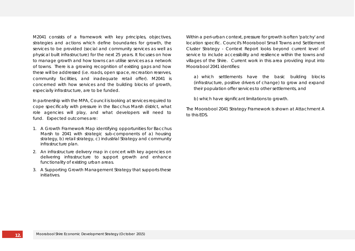M2041 consists of a framework with key principles, objectives, strategies and actions which define boundaries for growth, the services to be provided (social and community services as well as physical built infrastructure) for the next 25 years. It focuses on how to manage growth and how towns can utilise services as a network of towns. There is a growing recognition of existing gaps and how these will be addressed (i.e. roads, open space, recreation reserves, community facilities, and inadequate retail offer). M2041 is concerned with how services and the building blocks of growth, especially infrastructure, are to be funded.

In partnership with the MPA, Council is looking at services required to cope specifically with pressure in the Bacchus Marsh district, what role agencies will play, and what developers will need to fund. Expected outcomes are:

- 1. A Growth Framework Map identifying opportunities for Bacchus Marsh to 2041 with strategic sub-components of a) housing strategy, b) retail strategy, c) industrial Strategy and community infrastructure plan.
- 2. An infrastructure delivery map in concert with key agencies on delivering infrastructure to support growth and enhance functionality of existing urban areas.
- 3. A Supporting Growth Management Strategy that supports these initiatives.

Within a peri-urban context, pressure for growth is often 'patchy' and location specific. Council's Moorabool Small Towns and Settlement Cluster Strategy - Context Report looks beyond current level of service to include accessibility and resilience within the towns and villages of the Shire. Current work in this area providing input into Moorabool 2041 identifies:

a) which settlements have the basic building blocks (infrastructure, positive drivers of change) to grow and expand their population offer services to other settlements, and

b) which have significant limitations to growth.

The Moorabool 2041 Strategy Framework is shown at Attachment A to this EDS.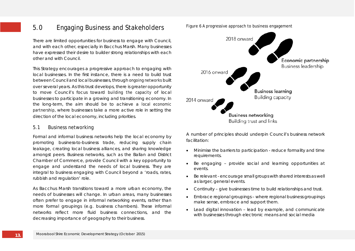## 5.0 Engaging Business and Stakeholders

There are limited opportunities for business to engage with Council, and with each other, especially in Bacchus Marsh. Many businesses have expressed their desire to builder strong relationships with each other and with Council.

This Strategy encourages a progressive approach to engaging with local businesses. In the first instance, there is a need to build trust between Council and local businesses, through ongoing networks built over several years. As this trust develops, there is greater opportunity to move Council's focus toward building the capacity of local businesses to participate in a growing and transitioning economy. In the long-term, the aim should be to achieve a local economic partnership, where businesses take a more active role in setting the direction of the local economy, including priorities.

#### 5.1 Business networking

Formal and informal business networks help the local economy by promoting business-to-business trade, reducing supply chain leakage, creating local business alliances, and sharing knowledge amongst peers. Business networks, such as the Ballan and District Chamber of Commerce, provide Council with a key opportunity to engage and understand the needs of local business. They are integral to business engaging with Council beyond a 'roads, rates, rubbish and regulation' role.

As Bacchus Marsh transitions toward a more urban economy, the needs of businesses will change. In urban areas, many businesses often prefer to engage in informal networking events, rather than more formal groupings (e.g. business chambers). These informal networks reflect more fluid business connections, and the decreasing importance of geography to their business.



A number of principles should underpin Council's business network facilitation:

- Minimise the barriers to participation reduce formality and time requirements.
- Be engaging provide social and learning opportunities at events.
- Be relevant encourage small groups with shared interests as well as larger, general events.
- Continuity give businesses time to build relationships and trust.
- Embrace regional groupings where regional business groupings make sense, embrace and support them.
- Lead digital innovation lead by example, and communicate with businesses through electronic means and social media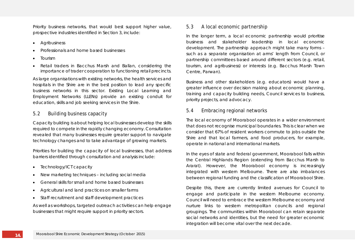Priority business networks, that would best support higher value, prospective industries identified in Section 3, include:

- Agribusiness
- Professionals and home based businesses
- Tourism
- Retail traders in Bacchus Marsh and Ballan, considering the importance of trader cooperation to functioning retail precincts.

As large organisations with existing networks, the health services and hospitals in the Shire are in the best position to lead any specific business networks in this sector. Existing Local Learning and Employment Networks (LLENs) provide an existing conduit for education, skills and job seeking services in the Shire.

## 5.2 Building business capacity

Capacity building is about helping local businesses develop the skills required to compete in the rapidly changing economy. Consultation revealed that many businesses require greater support to navigate technology changes and to take advantage of growing markets.

Priorities for building the capacity of local businesses, that address barriers identified through consultation and analysis include:

- Technology/ICT capacity
- New marketing techniques including social media
- General skills for small and home based businesses
- Agricultural and land practices on smaller farms
- Staff recruitment and staff development practices

As well as workshops, targeted outreach activities can help engage businesses that might require support in priority sectors.

## 5.3 A local economic partnership

In the longer term, a local economic partnership would prioritise business and stakeholder leadership in local economic development. The partnership approach might take many forms – such as a separate organisation at arms' length from Council, or partnership committees based around different sectors (e.g. retail, tourism, and agribusiness) or interests (e.g. Bacchus Marsh Town Centre, Parwan).

Business and other stakeholders (e.g. educators) would have a greater influence over decision making about economic planning, training and capacity building needs, Council services to business, priority projects, and advocacy.

## 5.4 Embracing regional networks

The local economy of Moorabool operates in a wider environment that does not recognise municipal boundaries. This is clear when we consider that 67% of resident workers commute to jobs outside the Shire and that local farmers, and food producers, for example, operate in national and international markets.

In the eyes of state and federal government, Moorabool falls within the Central Highlands Region (extending from Bacchus Marsh to Ararat). However, the Moorabool economy is increasingly integrated with western Melbourne. There are also imbalances between regional funding and the classification of Moorabool Shire.

Despite this, there are currently limited avenues for Council to engage and participate in the western Melbourne economy. Council will need to embrace the western Melbourne economy and nurture links to western metropolitan councils and regional groupings. The communities within Moorabool can retain separate social networks and identities, but the need for greater economic integration will become vital over the next decade.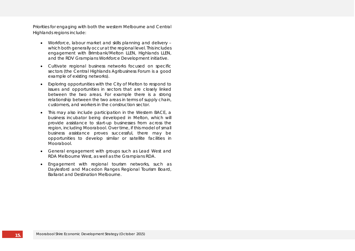Priorities for engaging with both the western Melbourne and Central Highlands regions include:

- Workforce, labour market and skills planning and delivery which both generally occur at the regional level. This includes engagement with Brimbank/Melton LLEN, Highlands LLEN, and the RDV Grampians Workforce Development initiative.
- Cultivate regional business networks focused on specific sectors (the Central Highlands Agribusiness Forum is a good example of existing networks).
- Exploring opportunities with the City of Melton to respond to issues and opportunities in sectors that are closely linked between the two areas. For example there is a strong relationship between the two areas in terms of supply chain, customers, and workers in the construction sector.
- This may also include participation in the Western BACE, a business incubator being developed in Melton, which will provide assistance to start-up businesses from across the region, including Moorabool. Over time, if this model of small business assistance proves successful, there may be opportunities to develop similar or satellite facilities in Moorabool.
- General engagement with groups such as Lead West and RDA Melbourne West, as well as the Grampians RDA.
- Engagement with regional tourism networks, such as Daylesford and Macedon Ranges Regional Tourism Board, Ballarat and Destination Melbourne.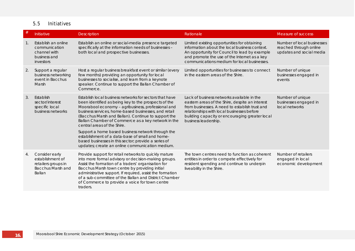## 5.5 Initiatives

| #  | Initiative                                                                                      | <b>Description</b>                                                                                                                                                                                                                                                                                                                                                                                         | Rationale                                                                                                                                                                                                                                                               | Measure of success                                                               |
|----|-------------------------------------------------------------------------------------------------|------------------------------------------------------------------------------------------------------------------------------------------------------------------------------------------------------------------------------------------------------------------------------------------------------------------------------------------------------------------------------------------------------------|-------------------------------------------------------------------------------------------------------------------------------------------------------------------------------------------------------------------------------------------------------------------------|----------------------------------------------------------------------------------|
|    | Establish an online<br>communication<br>channel with<br>business and<br>investors               | Establish an online or social-media presence targeted<br>specifically at the information needs of businesses -<br>both local and prospective businesses.                                                                                                                                                                                                                                                   | Limited existing opportunities for obtaining<br>information about the local business context.<br>An opportunity for Council to lead by example<br>and promote the use of the Internet as a key<br>communications medium for local businesses.                           | Number of local businesses<br>reached through online<br>updates and social media |
| 2. | Support a regular<br>business networking<br>event in Bacchus<br>Marsh                           | Host a regular business breakfast event or similar (every<br>few months) providing an opportunity for local<br>businesses to socialise, and learn from a keynote<br>speaker. Continue to support the Ballan Chamber of<br>Commerce.                                                                                                                                                                        | Limited opportunities for businesses to connect<br>in the eastern areas of the Shire.                                                                                                                                                                                   | Number of unique<br>businesses engaged in<br>events                              |
| 3. | Establish<br>sector/interest<br>specific local<br>business networks                             | Establish local business networks for sectors that have<br>been identified as being key to the prospects of the<br>Moorabool economy - agribusiness, professional and<br>business services, home-based businesses, and retail<br>(Bacchus Marsh and Ballan). Continue to support the<br>Ballan Chamber of Commerce as a key network in the<br>central areas of the Shire.                                  | Lack of business networks available in the<br>eastern areas of the Shire, despite an interest<br>from businesses. A need to establish trust and<br>relationships with local businesses before<br>building capacity or encouraging greater local<br>business leadership. | Number of unique<br>businesses engaged in<br>local networks                      |
|    |                                                                                                 | Support a home based business network through the<br>establishment of a data-base of small and home-<br>based businesses in this sector; provide a series of<br>updates; create an online communication medium.                                                                                                                                                                                            |                                                                                                                                                                                                                                                                         |                                                                                  |
| 4. | Consider early<br>establishment of<br>retailers groups in<br><b>Bacchus Marsh and</b><br>Ballan | Provide support for retail networks to quickly mature<br>into more formal advisory or decision-making groups.<br>Assist the formation of a traders' organisation for<br>Bacchus Marsh town centre by providing initial<br>administrative support. If required, assist the formation<br>of a sub-committee of the Ballan and District Chamber<br>of Commerce to provide a voice for town centre<br>traders. | The town centres need to function as coherent<br>entities in order to compete effectively for<br>resident spending and continue to underpin<br>liveability in the Shire.                                                                                                | Number of retailers<br>engaged in local<br>economic development                  |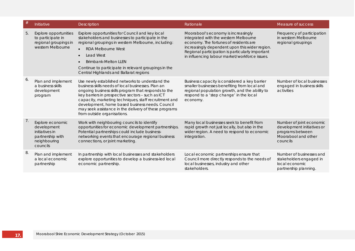| #  | Initiative                                                                                        | <b>Description</b>                                                                                                                                                                                                                                                                                                                                                                                                      | Rationale                                                                                                                                                                                                                                                                      | Measure of success                                                                                            |
|----|---------------------------------------------------------------------------------------------------|-------------------------------------------------------------------------------------------------------------------------------------------------------------------------------------------------------------------------------------------------------------------------------------------------------------------------------------------------------------------------------------------------------------------------|--------------------------------------------------------------------------------------------------------------------------------------------------------------------------------------------------------------------------------------------------------------------------------|---------------------------------------------------------------------------------------------------------------|
| 5. | Explore opportunities<br>to participate in<br>regional groupings in<br>western Melbourne          | Explore opportunities for Council and key local<br>stakeholders and businesses to participate in the<br>regional groupings in western Melbourne, including:<br><b>RDA Melbourne West</b><br>$\bullet$<br><b>Lead West</b><br>$\bullet$<br><b>Brimbank-Melton LLEN</b><br>$\bullet$<br>Continue to participate in relevant groupings in the<br>Central Highlands and Ballarat regions                                    | Moorabool's economy is increasingly<br>integrated with the western Melbourne<br>economy. The fortunes of residents are<br>increasingly dependent upon this wider region.<br>Regional participation is particularly important<br>in influencing labour market/workforce issues. | Frequency of participation<br>in western Melbourne<br>regional groupings                                      |
| 6. | Plan and implement<br>a business skills<br>development<br>program                                 | Use newly established networks to understand the<br>business skills needs of local businesses. Plan an<br>ongoing business skills program that responds to the<br>key barriers in prospective sectors - such as ICT<br>capacity, marketing techniques, staff recruitment and<br>development, home based business needs. Council<br>may seek assistance in the delivery of these programs<br>from outside organisations. | Business capacity is considered a key barrier<br>smaller businesses benefiting from local and<br>regional population growth, and the ability to<br>respond to a 'step change' in the local<br>economy.                                                                         | Number of local businesses<br>engaged in business skills<br>activities                                        |
| 7. | Explore economic<br>development<br>initiatives in<br>partnership with<br>neighbouring<br>councils | Work with neighbouring councils to identify<br>opportunities for economic development partnerships.<br>Potential partnerships could include business-<br>networking events that encourage regional business<br>connections, or joint marketing.                                                                                                                                                                         | Many local businesses seek to benefit from<br>rapid growth not just locally, but also in the<br>wider region. A need to respond to economic<br>integration.                                                                                                                    | Number of joint economic<br>development initiatives or<br>programs between<br>Moorabool and other<br>councils |
| 8. | Plan and implement<br>a local economic<br>partnership                                             | In partnership with local businesses and stakeholders<br>explore opportunities to develop a business-led local<br>economic partnership.                                                                                                                                                                                                                                                                                 | Local economic partnerships ensure that<br>Council more directly responds to the needs of<br>local businesses, industry and other<br>stakeholders.                                                                                                                             | Number of businesses and<br>stakeholders engaged in<br>local economic<br>partnership planning.                |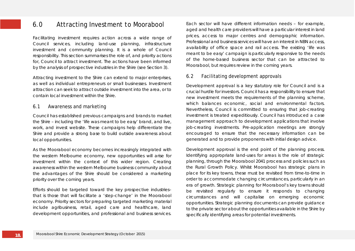## 6.0 Attracting Investment to Moorabool

Facilitating investment requires action across a wide range of Council services, including land-use planning, infrastructure investment and community planning. It is a whole of Council responsibility. This section summarises the role of, and priority actions for, Council to attract investment. The actions have been informed by the analysis of prospective industries in the Shire (see Section 3).

Attracting investment to the Shire can extend to major enterprises, as well as individual entrepreneurs or small businesses. Investment attraction can seek to attract outside investment into the area, or to contain local investment within the Shire.

## 6.1 Awareness and marketing

Council has established previous campaigns and brands to market the Shire – including the 'life was meant to be easy' brand, and live, work, and invest website. These campaigns help differentiate the Shire and provide a strong base to build outside awareness about local opportunities.

As the Moorabool economy becomes increasingly integrated with the western Melbourne economy, new opportunities will arise for investment within the context of this wider region. Creating awareness within the western Melbourne business community about the advantages of the Shire should be considered a marketing priority over the coming years.

Efforts should be targeted toward the key prospective industries– that is those that will facilitate a 'step-change' in the Moorabool economy. Priority sectors for preparing targeted marketing material include agribusiness, retail, aged care and healthcare, land development opportunities, and professional and business services.

Each sector will have different information needs – for example, aged and health care providers will have a particular interest in land prices, access to major centres and demographic information. Professional and business services will have an interest in NBN access, availability of office space and rail access. The existing 'life was meant to be easy' campaign is particularly responsive to the needs of the home-based business sector that can be attracted to Moorabool, but requires review in the coming years.

### 6.2 Facilitating development approvals

Development approval is a key statutory role for Council and is a crucial hurdle for investors. Council has a responsibility to ensure that new investment meets the requirements of the planning scheme, which balances economic, social and environmental factors. Nevertheless, Council is committed to ensuring that job-creating investment is treated expeditiously. Council has introduced a case management approach to development applications that involve job-creating investments. Pre-application meetings are strongly encouraged to ensure that the necessary information can be generated and to provide proponents with initial design advice.

Development approval is the end point of the planning process. Identifying appropriate land-uses for areas is the role of strategic planning, through the Moorabool 2041 process and policies such as the Rural Growth Policy. Whilst Moorabool has strategic plans in place for its key towns, these must be revisited from time-to-time in order to accommodate changing circumstances, particularly in an era of growth. Strategic planning for Moorabool's key towns should be revisited regularly to ensure it responds to changing circumstances and will capitalise on emerging economic opportunities. Strategic planning documents can provide guidance to the private sector about the opportunities available in the Shire by specifically identifying areas for potential investments.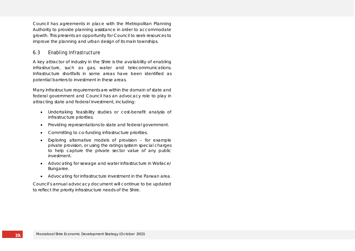Council has agreements in place with the Metropolitan Planning Authority to provide planning assistance in order to accommodate growth. This presents an opportunity for Council to seek resources to improve the planning and urban design of its main townships.

## 6.3 Enabling Infrastructure

A key attractor of industry in the Shire is the availability of enabling infrastructure, such as gas, water and telecommunications. Infrastructure shortfalls in some areas have been identified as potential barriers to investment in these areas.

Many infrastructure requirements are within the domain of state and federal government and Council has an advocacy role to play in attracting state and federal investment, including:

- Undertaking feasibility studies or cost-benefit analysis of infrastructure priorities.
- Providing representations to state and federal government.
- Committing to co-funding infrastructure priorities.
- Exploring alternative models of provision for example private provision, or using the ratings system special charges to help capture the private sector value of any public investment.
- Advocating for sewage and water infrastructure in Wallace/ Bungaree.
- Advocating for infrastructure investment in the Parwan area.

Council's annual advocacy document will continue to be updated to reflect the priority infrastructure needs of the Shire.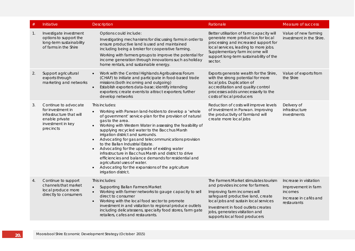| #              | Initiative                                                                                                                | <b>Description</b>                                                                                                                                                                                                                                                                                                                                                                                                                                                                                                                                                                                                                                                                              | Rationale                                                                                                                                                                                                                                                                                       | Measure of success                                                                               |
|----------------|---------------------------------------------------------------------------------------------------------------------------|-------------------------------------------------------------------------------------------------------------------------------------------------------------------------------------------------------------------------------------------------------------------------------------------------------------------------------------------------------------------------------------------------------------------------------------------------------------------------------------------------------------------------------------------------------------------------------------------------------------------------------------------------------------------------------------------------|-------------------------------------------------------------------------------------------------------------------------------------------------------------------------------------------------------------------------------------------------------------------------------------------------|--------------------------------------------------------------------------------------------------|
| $\mathbf{1}$ . | Investigate investment<br>options to support the<br>long-term sustainability<br>of farms in the Shire                     | Options could include:<br>Investigating mechanisms for discussing farms in order to<br>ensure productive land is used and maintained<br>including being a broker for cooperative farming.<br>Working with farmers groups to improve the potential for<br>income generation through innovations such as holiday<br>home rentals, and sustainable energy.                                                                                                                                                                                                                                                                                                                                         | Better utilisation of farm capacity will<br>generate more production for local<br>processing and increased support for<br>local services, leading to more jobs.<br>Supplementary farm income will<br>support long-term sustainability of the<br>sector.                                         | Value of new farming<br>investment in the Shire.                                                 |
| 2.             | Support agricultural<br>exports through<br>marketing and networks                                                         | Work with the Central Highlands Agribusiness Forum<br>$\bullet$<br>(CHAF) to initiate and participate in food-based trade<br>missions (both incoming and outgoing)<br>Establish exporters data-base; identify intending<br>$\bullet$<br>exporters; create events to attract exporters; further<br>develop networks                                                                                                                                                                                                                                                                                                                                                                              | Exports generate wealth for the Shire,<br>with the strong potential for more<br>local jobs. Duplication of<br>accreditation and quality control<br>processes adds unnecessarily to the<br>costs of local producers                                                                              | Value of exports from<br>the Shire                                                               |
| 3.             | Continue to advocate<br>for investment in<br>infrastructure that will<br>enable private<br>investment in key<br>precincts | This includes:<br>Working with Parwan land-holders to develop a 'whole<br>of government' service-plan for the provision of natural<br>gas to the area.<br>Working with Western Water in assessing the feasibility of<br>supplying recycled water to the Bacchus Marsh<br>irrigation district and surrounds.<br>Advocating for gas and telecommunications provision<br>to the Ballan Industrial Estate.<br>Advocating for the upgrade of existing water<br>$\bullet$<br>infrastructure in Bacchus Marsh and district to drive<br>efficiencies and balance demands for residential and<br>agricultural uses of water.<br>Advocating for the expansions of the agriculture<br>irrigation district. | Reduction of costs will improve levels<br>of investment in Parwan. Improving<br>the productivity of farmland will<br>create more local jobs                                                                                                                                                     | Delivery of<br>infrastructure<br>investments                                                     |
| 4.             | Continue to support<br>channels that market<br>local produce more<br>directly to consumers                                | This includes:<br><b>Supporting Ballan Farmers Market</b><br>Working with farmer networks to gauge capacity to sell<br>direct to consumer<br>Working with the local food sector to promote<br>$\bullet$<br>investment in and visitation to regional produce outlets<br>including delicatessens, specialty food stores, farm gate<br>retailers, cafes and restaurants.                                                                                                                                                                                                                                                                                                                           | The Farmers Market stimulates tourism<br>and provides income for farmers.<br>Improving farm incomes will<br>safeguard productive land, create<br>local jobs and sustain local services<br>Investment in food outlets creates<br>jobs, generates visitation and<br>supports local food producers | Increase in visitation<br>Improvement in farm<br>incomes<br>Increase in cafés and<br>restaurants |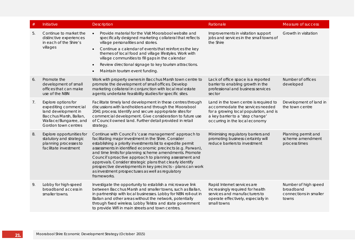| #  | Initiative                                                                                                                                    | <b>Description</b>                                                                                                                                                                                                                                                                                                                                                                                                                                                                                                                                              | Rationale                                                                                                                                                                                 | Measure of success                                                   |
|----|-----------------------------------------------------------------------------------------------------------------------------------------------|-----------------------------------------------------------------------------------------------------------------------------------------------------------------------------------------------------------------------------------------------------------------------------------------------------------------------------------------------------------------------------------------------------------------------------------------------------------------------------------------------------------------------------------------------------------------|-------------------------------------------------------------------------------------------------------------------------------------------------------------------------------------------|----------------------------------------------------------------------|
| 5. | Continue to market the<br>distinctive experiences<br>in each of the Shire's<br>villages                                                       | Provide material for the Visit Moorabool website and<br>specifically designed marketing collateral that reflects<br>village personalities and stories.<br>Continue a calendar of events that reinforces the key<br>$\bullet$<br>themes of local food and village lifestyles. Work with<br>village communities to fill gaps in the calendar<br>Review directional signage to key tourism attractions.<br>$\bullet$<br>Maintain tourism event funding.                                                                                                            | Improvements in visitation support<br>jobs and services in the small towns of<br>the Shire                                                                                                | Growth in visitation                                                 |
| 6. | Promote the<br>development of small<br>offices that can make<br>use of the NBN                                                                | Work with property owners in Bacchus Marsh town centre to<br>promote the development of small offices. Develop<br>marketing collateral in conjunction with local real estate<br>agents; undertake feasibility studies for specific sites.                                                                                                                                                                                                                                                                                                                       | Lack of office space is a reported<br>barrier to enabling growth in the<br>professional and business services<br>sector                                                                   | Number of offices<br>developed                                       |
| 7. | Explore options for<br>expediting commercial<br>land development in<br>Bacchus Marsh, Ballan,<br>Wallace/Bungaree, and<br>Gordon town centres | Facilitate timely land development in these centres through<br>discussions with landholders and through the Moorabool<br>2041 process. Identify and secure appropriate sites for<br>commercial development. Give consideration to future use<br>of Council owned land. Further detail provided in retail<br>strategy.                                                                                                                                                                                                                                           | Land in the town centre is required to<br>accommodate the services needed<br>for a growing local population, and is<br>a key barrier to a 'step change'<br>occurring in the local economy | Development of land in<br>the town centre                            |
| 8. | Explore opportunities for<br>statutory and strategic<br>planning processes to<br>facilitate investment                                        | Continue with Council's 'case management' approach to<br>facilitating major investment in the Shire. Consider<br>establishing a priority investments list to expedite permit<br>assessments in identified economic precincts (e.g. Parwan),<br>and time limits for planning scheme amendments. Promote<br>Council's proactive approach to planning assessment and<br>approvals. Consider strategic plans that clearly identify<br>prospective developments in key precincts - plans can work<br>as investment prospectuses as well as regulatory<br>frameworks. | Minimising regulatory barriers and<br>promoting business certainty will<br>reduce barriers to investment                                                                                  | Planning permit and<br>scheme amendment<br>process times             |
| 9. | Lobby for high-speed<br>broadband access in<br>smaller towns.                                                                                 | Investigate the opportunity to establish a microwave link<br>between Bacchus Marsh and smaller towns, such as Ballan,<br>in partnership with local businesses. Lobby for NBN roll-out in<br>Ballan and other areas without the network, potentially<br>through fixed wireless. Lobby Telstra and state government<br>to provide Wifi in main streets and town centres.                                                                                                                                                                                          | Rapid Internet services are<br>increasingly required for health<br>services and manufacturers to<br>operate effectively, especially in<br>small towns                                     | Number of high speed<br>broadband<br>connections in smaller<br>towns |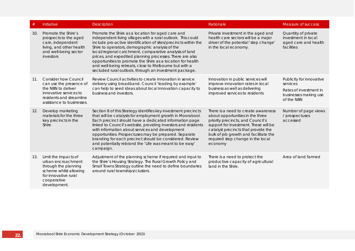| #   | Initiative                                                                                                                                                      | <b>Description</b>                                                                                                                                                                                                                                                                                                                                                                                                                                                                                                                               | Rationale                                                                                                                                                                                                                                                                             | Measure of success                                                                                    |
|-----|-----------------------------------------------------------------------------------------------------------------------------------------------------------------|--------------------------------------------------------------------------------------------------------------------------------------------------------------------------------------------------------------------------------------------------------------------------------------------------------------------------------------------------------------------------------------------------------------------------------------------------------------------------------------------------------------------------------------------------|---------------------------------------------------------------------------------------------------------------------------------------------------------------------------------------------------------------------------------------------------------------------------------------|-------------------------------------------------------------------------------------------------------|
| 10. | Promote the Shire's<br>prospects to the aged<br>care, independent<br>living, and other health<br>and well-being sector<br>investors                             | Promote the Shire as a location for aged care and<br>independent living villages with a rural outlook. This could<br>include pro-active identification of sites/precincts within the<br>Shire to operators, demographic analysis of the<br>local/regional catchment, comparative analysis of land<br>prices, and expedited planning processes. There are also<br>opportunities to promote the Shire as a location for health<br>and well-being retreats, close to Melbourne but with a<br>secluded rural outlook, through an investment package. | Private investment in the aged and<br>health care sectors will be a major<br>driver of the potential 'step change'<br>in the local economy.                                                                                                                                           | Quantity of private<br>investment in local<br>aged care and health<br>facilities                      |
| 11. | <b>Consider how Council</b><br>can use the presence of<br>the NBN to deliver<br>innovative services to<br>residents and streamline<br>assistance to businesses. | Review Council activities to create innovation in service<br>delivery using broadband. Council 'leading by example'<br>can help to seed ideas about local innovation capacity to<br>business and investors.                                                                                                                                                                                                                                                                                                                                      | Innovation in public services will<br>improve innovation rates in local<br>business as well as delivering<br>improved services to residents                                                                                                                                           | Publicity for innovative<br>services<br>Rates of investment in<br>businesses making use<br>of the NBN |
| 12. | Develop marketing<br>materials for the three<br>key precincts in the<br>Shire                                                                                   | Section 8 of this Strategy identifies key investment precincts<br>that will be catalysts for employment growth in Moorabool.<br>Each precinct should have a dedicated information page<br>linked to Council's website, providing investors and residents<br>with information about services and development<br>opportunities. Prospectuses may be prepared. Separate<br>branding for each precinct should be considered. Review<br>and potentially rebrand the 'Life was meant to be easy'<br>campaign.                                          | There is a need to create awareness<br>about opportunities in the three<br>priority precincts, and Council's<br>support for investment. These will be<br>catalyst precincts that provide the<br>bulk of job growth and facilitate the<br>required step change in the local<br>economy | Number of page views<br>/ prospectuses<br>accessed                                                    |
| 13. | Limit the impacts of<br>urban encroachment<br>through the planning<br>scheme whilst allowing<br>for innovative rural<br>cooperative<br>development.             | Adjustment of the planning scheme if required and input to<br>the Shire's Housing Strategy. The Rural Growth Policy and<br>Small Towns Strategy outline the need to define boundaries<br>around rural townships/clusters.                                                                                                                                                                                                                                                                                                                        | There is a need to protect the<br>productive capacity of agricultural<br>land in the Shire.                                                                                                                                                                                           | Area of land farmed                                                                                   |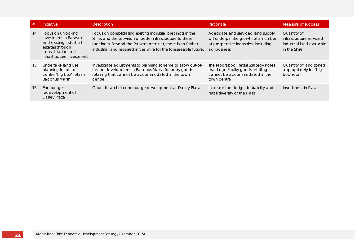| #   | Initiative                                                                                                                                 | <b>Description</b>                                                                                                                                                                                                                                           | Rationale                                                                                                                          | Measure of success                                                                  |
|-----|--------------------------------------------------------------------------------------------------------------------------------------------|--------------------------------------------------------------------------------------------------------------------------------------------------------------------------------------------------------------------------------------------------------------|------------------------------------------------------------------------------------------------------------------------------------|-------------------------------------------------------------------------------------|
| 14. | Focus on unlocking<br>investment in Parwan<br>and existing industrial<br>estates through<br>consolidation and<br>infrastructure investment | Focus on consolidating existing industrial precincts in the<br>Shire, and the provision of better infrastructure to these<br>precincts. Beyond the Parwan precinct, there is no further<br>industrial land required in the Shire for the foreseeable future. | Adequate and serviced land supply<br>will underpin the growth of a number<br>of prospective industries, including<br>agribusiness. | Quantity of<br>infrastructure serviced<br>industrial land available<br>in the Shire |
| 15. | Undertake land use<br>planning for out of<br>centre 'big box' retail in<br><b>Bacchus Marsh</b>                                            | Investigate adjustments to planning scheme to allow out-of-<br>centre development in Bacchus Marsh for bulky goods<br>retailing that cannot be accommodated in the town<br>centre.                                                                           | The Moorabool Retail Strategy notes<br>that larger/bulky goods retailing<br>cannot be accommodated in the<br>town centre           | Quantity of land zoned<br>appropriately for 'big<br>box' retail                     |
| 16. | Encourage<br>redevelopment of<br>Darley Plaza                                                                                              | Council can help encourage development at Darley Plaza                                                                                                                                                                                                       | Increase the design desirability and<br>retail diversity of the Plaza                                                              | Investment in Plaza                                                                 |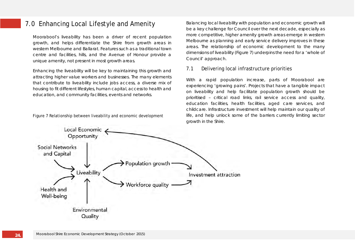## 7.0 Enhancing Local Lifestyle and Amenity

Moorabool's liveability has been a driver of recent population growth, and helps differentiate the Shire from growth areas in western Melbourne and Ballarat. Features such as a traditional town centre and facilities, hills, and the Avenue of Honour provide a unique amenity, not present in most growth areas.

Enhancing the liveability will be key to maintaining this growth and attracting higher value workers and businesses. The many elements that contribute to liveability include jobs access, a diverse mix of housing to fit different lifestyles, human capital, access to health and education, and community facilities, events and networks.

Figure 7 Relationship between liveability and economic development

Balancing local liveability with population and economic growth will be a key challenge for Council over the next decade, especially as more competitive, higher amenity growth areas emerge in western Melbourne as planning and early service delivery improves in these areas. The relationship of economic development to the many dimensions of liveability (Figure 7) underpins the need for a 'whole of Council' approach.

## 7.1 Delivering local infrastructure priorities

With a rapid population increase, parts of Moorabool are experiencing 'growing pains'. Projects that have a tangible impact on liveability and help facilitate population growth should be prioritised – critical road links, rail service access and quality, education facilities, health facilities, aged care services, and childcare. Infrastructure investment will help maintain our quality of life, and help unlock some of the barriers currently limiting sector growth in the Shire.

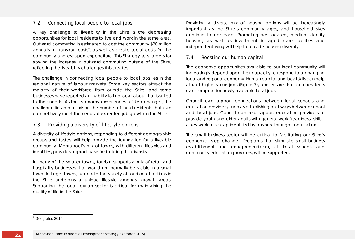## 7.2 Connecting local people to local jobs

A key challenge to liveability in the Shire is the decreasing opportunities for local residents to live and work in the same area. Outward commuting is estimated to cost the community \$20 million annually in transport costs<sup>7</sup>, as well as create social costs for the community and escaped expenditure. This Strategy sets targets for slowing the increase in outward commuting outside of the Shire, reflecting the liveability challenges this creates.

The challenge in connecting local people to local jobs lies in the regional nature of labour markets. Some key sectors attract the majority of their workforce from outside the Shire, and some businesses have reported an inability to find local labour that is suited to their needs. As the economy experiences a 'step change', the challenge lies in maximising the number of local residents that can competitively meet the needs of expected job growth in the Shire.

### 7.3 Providing a diversity of lifestyle options

A diversity of lifestyle options, responding to different demographic groups and tastes, will help provide the foundation for a liveable community. Moorabool's mix of towns, with different lifestyles and identities, provides a good base for building this diversity.

In many of the smaller towns, tourism supports a mix of retail and hospitality businesses that would not normally be viable in a small town. In larger towns, access to the variety of tourism attractions in the Shire underpins a unique lifestyle amongst growth areas. Supporting the local tourism sector is critical for maintaining the quality of life in the Shire.

<span id="page-26-0"></span>Providing a diverse mix of housing options will be increasingly important as the Shire's community ages, and household sizes continue to decrease. Promoting well-located, medium density housing, as well as investment in aged care facilities and independent living will help to provide housing diversity.

## 7.4 Boosting our human capital

The economic opportunities available to our local community will increasingly depend upon their capacity to respond to a changing local and regional economy. Human capital and local skills can help attract higher value jobs (Figure 7), and ensure that local residents can compete for newly available local jobs.

Council can support connections between local schools and education providers, such as establishing pathways between school and local jobs. Council can also support education providers to provide youth and older adults with general work 'readiness' skills – a key workforce gap identified by business through consultation.

The small business sector will be critical to facilitating our Shire's economic 'step change'. Programs that stimulate small business establishment and entrepreneurialism, at local schools and community education providers, will be supported.

<sup>-</sup><sup>7</sup> Geografia, 2014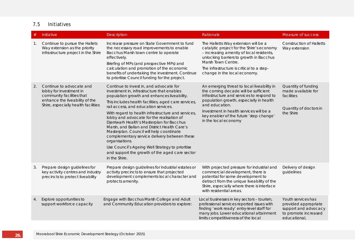## 7.5 Initiatives

| #  | Initiative                                                                                                                                                | Description                                                                                                                                                                                                                                                                                                                                                                                                                                                                                                                                                                                                                                                                | Rationale                                                                                                                                                                                                                                                                                                  | Measure of success                                                                                         |
|----|-----------------------------------------------------------------------------------------------------------------------------------------------------------|----------------------------------------------------------------------------------------------------------------------------------------------------------------------------------------------------------------------------------------------------------------------------------------------------------------------------------------------------------------------------------------------------------------------------------------------------------------------------------------------------------------------------------------------------------------------------------------------------------------------------------------------------------------------------|------------------------------------------------------------------------------------------------------------------------------------------------------------------------------------------------------------------------------------------------------------------------------------------------------------|------------------------------------------------------------------------------------------------------------|
| 1. | Continue to pursue the Hallets<br>Way extension as the priority<br>infrastructure project in the Shire                                                    | Increase pressure on State Government to fund<br>the necessary road improvements to enable<br>Bacchus Marsh town centre to operate<br>effectively.<br>Briefing of MPs (and prospective MPs) and<br>calculation and promotion of the economic<br>benefits of undertaking the investment. Continue<br>to prioritise Council funding for the project.                                                                                                                                                                                                                                                                                                                         | The Halletts Way extension will be a<br>catalytic project for the Shire's economy<br>- increasing amenity of local residents,<br>unlocking barriers to growth in Bacchus<br>Marsh Town Centre.<br>The infrastructure is critical to a step-<br>change in the local economy.                                | <b>Construction of Halletts</b><br>Way extension                                                           |
| 2. | Continue to advocate and<br>lobby for investment in<br>community facilities that<br>enhance the liveability of the<br>Shire, especially health facilities | Continue to invest in, and advocate for<br>investment in, infrastructure that enables<br>population growth and enhances liveability.<br>This includes health facilities, aged care services,<br>rail access, and education services.<br>With regard to health infrastructure and services,<br>lobby and advocate for the realisation of<br>Djerriwarh Health's Masterplan for Bacchus<br>Marsh, and Ballan and District Health Care's<br>Masterplan. Council will help coordinate<br>complementary service delivery between these<br>organisations.<br>Use Council's Ageing Well Strategy to prioritise<br>and support the growth of the aged care sector<br>in the Shire. | An emerging threat to local liveability in<br>the coming decade will be sufficient<br>infrastructure and services to respond to<br>population growth, especially in health<br>and education.<br>Investment in health services will be a<br>key enabler of the future 'step change'<br>in the local economy | Quantity of funding<br>made available for<br>facilities<br>Quantity of doctors in<br>the Shire             |
| 3. | Prepare design guidelines for<br>key activity centres and industry<br>precincts to protect liveability                                                    | Prepare design guidelines for industrial estates or<br>activity precincts to ensure that projected<br>development complements local character and<br>protects amenity.                                                                                                                                                                                                                                                                                                                                                                                                                                                                                                     | With projected pressure for industrial and<br>commercial development, there is<br>potential for some development to<br>detract from the unique liveability of the<br>Shire, especially where there is interface<br>with residential areas.                                                                 | Delivery of design<br>guidelines                                                                           |
| 4. | Explore opportunities to<br>support workforce capacity                                                                                                    | Engage with Bacchus Marsh College and Adult<br>and Community Education providers to explore:                                                                                                                                                                                                                                                                                                                                                                                                                                                                                                                                                                               | Local businesses in key sectors - tourism,<br>professional services reported issues with<br>finding 'work ready' entry-level staff for<br>many jobs. Lower educational attainment<br>limits competitiveness of the local                                                                                   | Youth services has<br>provided appropriate<br>support and advocacy<br>to promote increased<br>educational, |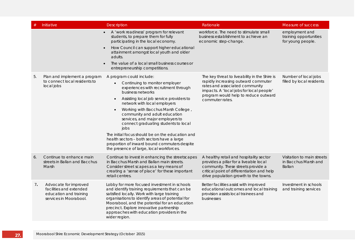|    | Initiative                                                                                           | Description                                                                                                                                                                                                                                                                                                                                                                                                                                                                                                                                                                | Rationale                                                                                                                                                                                                                     | Measure of success                                                  |
|----|------------------------------------------------------------------------------------------------------|----------------------------------------------------------------------------------------------------------------------------------------------------------------------------------------------------------------------------------------------------------------------------------------------------------------------------------------------------------------------------------------------------------------------------------------------------------------------------------------------------------------------------------------------------------------------------|-------------------------------------------------------------------------------------------------------------------------------------------------------------------------------------------------------------------------------|---------------------------------------------------------------------|
|    |                                                                                                      | • A 'work readiness' program for relevant<br>students, to prepare them for fully<br>participating in the local economy.<br>How Council can support higher educational<br>$\bullet$<br>attainment amongst local youth and older<br>adults.<br>The value of a local small business courses or<br>entrepreneurship competitions.                                                                                                                                                                                                                                              | workforce. The need to stimulate small<br>business establishment to achieve an<br>economic step-change.                                                                                                                       | employment and<br>training opportunities<br>for young people.       |
| 5. | Plan and implement a program<br>to connect local residents to<br>local jobs                          | A program could include:<br>Continuing to monitor employer<br>$\bullet$<br>experiences with recruitment through<br>business networks<br>Assisting local job service providers to<br>network with local employers<br>Working with Bacchus Marsh College,<br>community and adult education<br>services, and major employers to<br>connect graduating students to local<br>jobs<br>The initial focus should be on the education and<br>health sectors - both sectors have a large<br>proportion of inward bound commuters despite<br>the presence of large, local workforces. | The key threat to liveability in the Shire is<br>rapidly increasing outward commuter<br>rates and associated community<br>impacts. A 'local jobs for local people'<br>program would help to reduce outward<br>commuter rates. | Number of local jobs<br>filled by local residents                   |
| 6. | Continue to enhance main<br>streets in Ballan and Bacchus<br>Marsh                                   | Continue to invest in enhancing the streetscapes<br>in Bacchus Marsh and Ballan main streets.<br>Consider street scapes as a key means of<br>creating a 'sense of place' for these important<br>retail centres.                                                                                                                                                                                                                                                                                                                                                            | A healthy retail and hospitality sector<br>provides a pillar for a liveable local<br>community. These streets provide a<br>critical point of differentiation and help<br>drive population growth to the towns.                | Visitation to main streets<br>in Bacchus Marsh and<br><b>Ballan</b> |
| 7. | Advocate for improved<br>facilities and extended<br>education and training<br>services in Moorabool. | Lobby for more focused investment in schools<br>and identify training requirements that can be<br>satisfied locally. Work with large training<br>organisations to identify areas of potential for<br>Moorabool, and the potential for an education<br>precinct. Explore innovative partnership<br>approaches with education providers in the<br>wider region.                                                                                                                                                                                                              | Better facilities assist with improved<br>educational outcomes and local training<br>provision assists local trainees and<br>businesses                                                                                       | Investment in schools<br>and training services                      |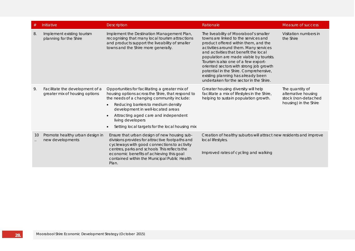| #  | Initiative                                                        | <b>Description</b>                                                                                                                                                                                                                                                                                                                                                       | Rationale                                                                                                                                                                                                                                                                                                                                                                                                                                                         | Measure of success                                                                     |
|----|-------------------------------------------------------------------|--------------------------------------------------------------------------------------------------------------------------------------------------------------------------------------------------------------------------------------------------------------------------------------------------------------------------------------------------------------------------|-------------------------------------------------------------------------------------------------------------------------------------------------------------------------------------------------------------------------------------------------------------------------------------------------------------------------------------------------------------------------------------------------------------------------------------------------------------------|----------------------------------------------------------------------------------------|
| 8. | Implement existing tourism<br>planning for the Shire              | Implement the Destination Management Plan,<br>recognising that many local tourism attractions<br>and products support the liveability of smaller<br>towns and the Shire more generally.                                                                                                                                                                                  | The liveability of Moorabool's smaller<br>towns are linked to the services and<br>product offered within them, and the<br>activities around them. Many services<br>and activities that benefit the local<br>population are made viable by tourists.<br>Tourism is also one of a few export-<br>oriented sectors with strong job growth<br>potential in the Shire. Comprehensive,<br>existing planning has already been<br>undertaken for the sector in the Shire. | Visitation numbers in<br>the Shire                                                     |
| 9. | Facilitate the development of a<br>greater mix of housing options | Opportunities for facilitating a greater mix of<br>housing options across the Shire, that respond to<br>the needs of a changing community include:<br>Reducing barriers to medium density<br>$\bullet$<br>development in well-located areas<br>Attracting aged care and independent<br>living developers<br>Setting local targets for the local housing mix<br>$\bullet$ | Greater housing diversity will help<br>facilitate a mix of lifestyles in the Shire,<br>helping to sustain population growth.                                                                                                                                                                                                                                                                                                                                      | The quantity of<br>alternative housing<br>stock (non-detached<br>housing) in the Shire |
| 10 | Promote healthy urban design in<br>new developments               | Ensure that urban design of new housing sub-<br>divisions provides for attractive footpaths and<br>cycleways with good connections to activity<br>centres, parks and schools This reflects the<br>economic benefits of achieving this goal<br>contained within the Municipal Public Health<br>Plan.                                                                      | Creation of healthy suburbs will attract new residents and improve<br>local lifestyles.<br>Improved rates of cycling and walking                                                                                                                                                                                                                                                                                                                                  |                                                                                        |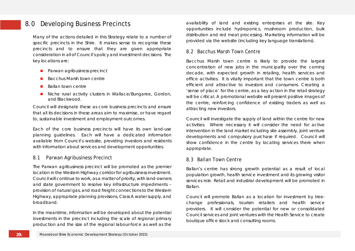## 8.0 Developing Business Precincts

Many of the actions detailed in this Strategy relate to a number of specific precincts in the Shire. It makes sense to recognise these precincts and to ensure that they are given appropriate consideration in all of Council's policy and investment decisions. The key locations are:

- **Parwan agribusiness precinct**
- Bacchus Marsh town centre
- $B$ allan town centre
- Niche rural activity clusters in Wallace/Bungaree, Gordon, and Blackwood.

Council will designate these as core business precincts and ensure that all its decisions in these areas aim to maximise, or have regard to, sustainable investment and employment outcomes.

Each of the core business precincts will have its own land-use planning guidelines. Each will have a dedicated information available from Council's website, providing investors and residents with information about services and development opportunities.

## 8.1 Parwan Agribusiness Precinct

The Parwan agribusiness precinct will be promoted as the premier location in the Western Highway corridor for agribusiness investment. Council will continue to work, as a matter of priority, with land-owners and state government to resolve key infrastructure impediments – provision of natural gas, and road freight connections to the Western Highway, appropriate planning provisions, Class A water supply, and broadband.

In the meantime, information will be developed about the potential investments in the precinct including the scale of regional primary production and the size of the regional labour-force as well as the availability of land and existing enterprises at the site. Key opportunities include hydroponics, mushroom production, bulk distribution and red meat processing. Marketing information will be provided via the website (including key language translations).

#### 8.2 Bacchus Marsh Town Centre

Bacchus Marsh town centre is likely to provide the largest concentration of new jobs in the municipality over the coming decade, with expected growth in retailing, health services and office activities. It is vitally important that the town centre is both efficient and attractive to investors and consumers. Creating a 'sense of place' for the centre, as a key action in the retail strategy will be critical. A promotional website will present positive images of the centre, reinforcing confidence of existing traders as well as attracting new investors.

Council will investigate the supply of land within the centre for new activities. Where necessary it will consider the need for active intervention in the land market including site assembly, joint venture developments and compulsory purchase if required. Council will show confidence in the centre by locating services there when appropriate.

## 8.3 Ballan Town Centre

Ballan's centre has strong growth potential as a result of local population growth, health service investment and its growing visitor services role. Retail and industrial development will be promoted in Ballan.

Council will promote Ballan as a location for investment by treechange professionals, tourism retailers and health service providers. It will consider the potential for new or consolidated Council services and joint ventures with the Health Service to create boutique office stock and consulting rooms.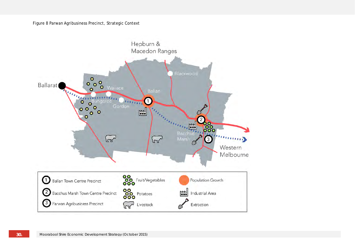#### Figure 8 Parwan Agribusiness Precinct, Strategic Context

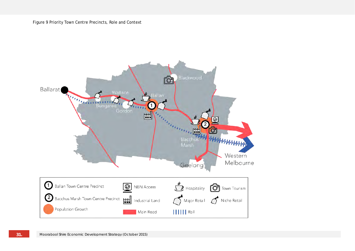Figure 9 Priority Town Centre Precincts, Role and Context

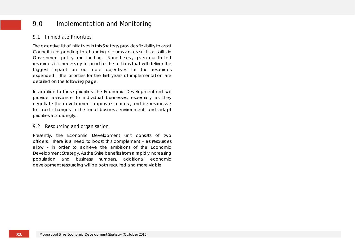## 9.0 Implementation and Monitoring

## 9.1 Immediate Priorities

The extensive list of initiatives in this Strategy provides flexibility to assist Council in responding to changing circumstances such as shifts in Government policy and funding. Nonetheless, given our limited resources it is necessary to prioritise the actions that will deliver the biggest impact on our core objectives for the resources expended. The priorities for the first years of implementation are detailed on the following page.

In addition to these priorities, the Economic Development unit will provide assistance to individual businesses, especially as they negotiate the development approvals process, and be responsive to rapid changes in the local business environment, and adapt priorities accordingly.

## 9.2 Resourcing and organisation

Presently, the Economic Development unit consists of two officers. There is a need to boost this complement – as resources allow - in order to achieve the ambitions of the Economic Development Strategy. As the Shire benefits from a rapidly increasing population and business numbers, additional economic development resourcing will be both required and more viable.

**32.**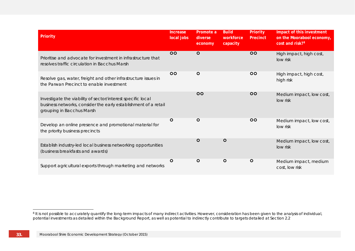<span id="page-34-0"></span>

| Priority                                                                                                                                                    | <b>Increase</b><br>local jobs | Promote a<br>diverse<br>economy | <b>Build</b><br>workforce<br>capacity | Priority<br>Precinct | Impact of this investment<br>on the Moorabool economy,<br>cost and risk? <sup>8</sup> |
|-------------------------------------------------------------------------------------------------------------------------------------------------------------|-------------------------------|---------------------------------|---------------------------------------|----------------------|---------------------------------------------------------------------------------------|
| Prioritise and advocate for investment in infrastructure that<br>resolves traffic circulation in Bacchus Marsh                                              | $\overline{O}$                | $\circ$                         |                                       | $\overline{O}$       | High impact, high cost,<br>low risk                                                   |
| Resolve gas, water, freight and other infrastructure issues in<br>the Parwan Precinct to enable investment                                                  | $\overline{O}O$               | $\circ$                         |                                       | $\circ$              | High impact, high cost,<br>high risk                                                  |
| Investigate the viability of sector/interest specific local<br>business networks, consider the early establishment of a retail<br>grouping in Bacchus Marsh |                               | 00                              |                                       | $\overline{O}$       | Medium impact, low cost,<br>low risk                                                  |
| Develop an online presence and promotional material for<br>the priority business precincts                                                                  | $\circ$                       | $\circ$                         |                                       | <b>OO</b>            | Medium impact, low cost,<br>low risk                                                  |
| Establish industry-led local business networking opportunities<br>(business breakfasts and awards)                                                          |                               | $\circ$                         | $\circ$                               |                      | Medium impact, low cost,<br>low risk                                                  |
| Support agricultural exports through marketing and networks                                                                                                 | O                             | O                               | O                                     | $\circ$              | Medium impact, medium<br>cost, low risk                                               |

<sup>&</sup>lt;sup>8</sup> It is not possible to accurately quantify the long-term impacts of many indirect activities. However, consideration has been given to the analysis of individual, potential investments as detailed within the Background Report, as well as potential to indirectly contribute to targets detailed at Section 2.2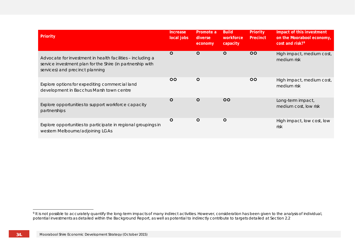<span id="page-35-0"></span>

| Priority                                                                                                                                                    | <b>Increase</b><br>local jobs | Promote a<br>diverse<br>economy | <b>Build</b><br>workforce<br>capacity | <b>Priority</b><br>Precinct | Impact of this investment<br>on the Moorabool economy,<br>cost and risk? <sup>9</sup> |
|-------------------------------------------------------------------------------------------------------------------------------------------------------------|-------------------------------|---------------------------------|---------------------------------------|-----------------------------|---------------------------------------------------------------------------------------|
| Advocate for investment in health facilities - including a<br>service investment plan for the Shire (in partnership with<br>services) and precinct planning | $\circ$                       | $\circ$                         | $\circ$                               | $\overline{O}O$             | High impact, medium cost,<br>medium risk                                              |
| Explore options for expediting commercial land<br>development in Bacchus Marsh town centre                                                                  | 00                            | $\circ$                         |                                       | $\circ$                     | High impact, medium cost,<br>medium risk                                              |
| Explore opportunities to support workforce capacity<br>partnerships                                                                                         | $\circ$                       | $\circ$                         | $\overline{O}$                        |                             | Long-term impact,<br>medium cost, low risk                                            |
| Explore opportunities to participate in regional groupings in<br>western Melbourne/adjoining LGAs                                                           | O                             | $\circ$                         | $\circ$                               |                             | High impact, low cost, low<br>risk                                                    |

<sup>&</sup>lt;sup>9</sup> It is not possible to accurately quantify the long-term impacts of many indirect activities. However, consideration has been given to the analysis of individual, potential investments as detailed within the Background Report, as well as potential to indirectly contribute to targets detailed at Section 2.2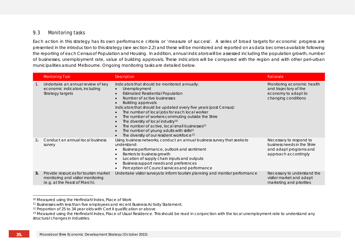## <span id="page-36-3"></span><span id="page-36-2"></span><span id="page-36-1"></span><span id="page-36-0"></span>9.3 Monitoring tasks

Each action in this strategy has its own performance criteria or 'measure of success'. A series of broad targets for economic progress are presented in the introduction to this strategy (see section 2.2) and these will be monitored and reported on as data becomes available following the reporting of each Census of Population and Housing. In addition, annual indicators will be assessed including the population growth, number of businesses, unemployment rate, value of building approvals. These indicators will be compared with the region and with other peri-urban municipalities around Melbourne. Ongoing monitoring tasks are detailed below.

|    | <b>Monitoring Task</b>                                                                                     | Description                                                                                                                                                                                                                                                                                                                                                                                                                                                                                                                                                                                                                                                          | Rationale                                                                                                |
|----|------------------------------------------------------------------------------------------------------------|----------------------------------------------------------------------------------------------------------------------------------------------------------------------------------------------------------------------------------------------------------------------------------------------------------------------------------------------------------------------------------------------------------------------------------------------------------------------------------------------------------------------------------------------------------------------------------------------------------------------------------------------------------------------|----------------------------------------------------------------------------------------------------------|
| 1. | Undertake an annual review of key<br>economic indicators, including<br>Strategy targets                    | Indicators that should be monitored annually:<br>Unemployment<br>$\bullet$<br><b>Estimated Residential Population</b><br>$\bullet$<br>Number of active businesses<br>Building approvals<br>Indicators that should be updated every five years (post Census):<br>The number of local jobs for each local worker<br>The number of workers commuting outside the Shire<br>$\bullet$<br>The diversity of local industry <sup>10</sup><br>$\bullet$<br>The number of active, local small businesses <sup>11</sup><br>$\bullet$<br>The number of young adults with skills <sup>12</sup><br>$\bullet$<br>The diversity of our resident workforce <sup>13</sup><br>$\bullet$ | Monitoring economic health<br>and trajectory of the<br>economy to adapt to<br>changing conditions        |
|    | Conduct an annual local business<br>survey                                                                 | Using business networks, conduct an annual business survey that seeks to<br>understand:<br>Business performance, outlook and sentiment<br>Barriers to business growth<br>$\bullet$<br>Location of supply chain inputs and outputs<br>$\bullet$<br>Business support needs and preferences<br>$\bullet$<br>Perception of Council services and performance<br>$\bullet$                                                                                                                                                                                                                                                                                                 | Necessary to respond to<br>business needs in the Shire<br>and adapt programs and<br>approach accordingly |
| 3. | Provide resources for tourism market<br>monitoring and visitor monitoring<br>(e.g. at the Feast of March). | Undertake visitor surveys to inform tourism planning and monitor performance                                                                                                                                                                                                                                                                                                                                                                                                                                                                                                                                                                                         | Necessary to understand the<br>visitor market and adapt<br>marketing and priorities                      |

<sup>&</sup>lt;sup>10</sup> Measured using the Herfindahl Index, Place of Work<br><sup>11</sup> Businesses with less than five employees and recent Business Activity Statement.<br><sup>12</sup> Proportion of 25 to 34 year olds with Cert II qualification or above

<sup>&</sup>lt;sup>13</sup> Measured using the Herfindahl Index, Place of Usual Residence. This should be read in conjunction with the local unemployment rate to understand any structural changes in industries.